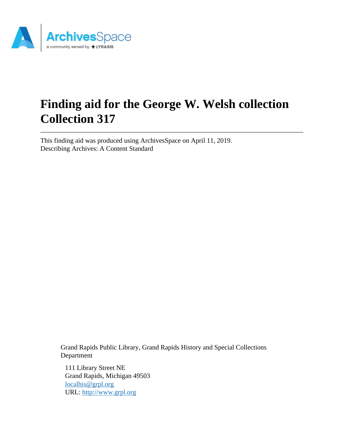

# **Finding aid for the George W. Welsh collection Collection 317**

This finding aid was produced using ArchivesSpace on April 11, 2019. Describing Archives: A Content Standard

> Grand Rapids Public Library, Grand Rapids History and Special Collections Department

111 Library Street NE Grand Rapids, Michigan 49503 [localhis@grpl.org](mailto:localhis@grpl.org) URL:<http://www.grpl.org>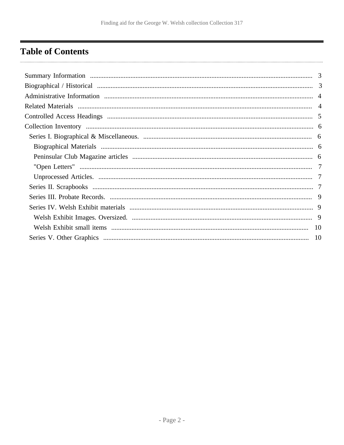# <span id="page-1-0"></span>**Table of Contents**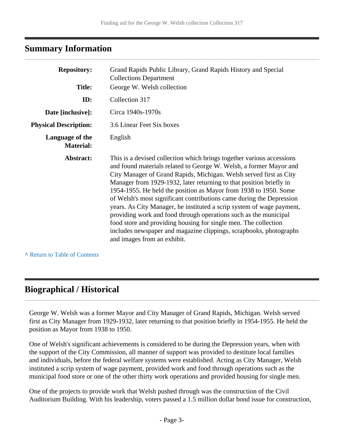## <span id="page-2-0"></span>**Summary Information**

| <b>Repository:</b>                  | Grand Rapids Public Library, Grand Rapids History and Special<br><b>Collections Department</b>                                                                                                                                                                                                                                                                                                                                                                                                                                                                                                                                                                                                                                                            |
|-------------------------------------|-----------------------------------------------------------------------------------------------------------------------------------------------------------------------------------------------------------------------------------------------------------------------------------------------------------------------------------------------------------------------------------------------------------------------------------------------------------------------------------------------------------------------------------------------------------------------------------------------------------------------------------------------------------------------------------------------------------------------------------------------------------|
| <b>Title:</b>                       | George W. Welsh collection                                                                                                                                                                                                                                                                                                                                                                                                                                                                                                                                                                                                                                                                                                                                |
| ID:                                 | Collection 317                                                                                                                                                                                                                                                                                                                                                                                                                                                                                                                                                                                                                                                                                                                                            |
| Date [inclusive]:                   | Circa 1940s-1970s                                                                                                                                                                                                                                                                                                                                                                                                                                                                                                                                                                                                                                                                                                                                         |
| <b>Physical Description:</b>        | 3.6 Linear Feet Six boxes                                                                                                                                                                                                                                                                                                                                                                                                                                                                                                                                                                                                                                                                                                                                 |
| Language of the<br><b>Material:</b> | English                                                                                                                                                                                                                                                                                                                                                                                                                                                                                                                                                                                                                                                                                                                                                   |
| Abstract:                           | This is a devised collection which brings together various accessions<br>and found materials related to George W. Welsh, a former Mayor and<br>City Manager of Grand Rapids, Michigan. Welsh served first as City<br>Manager from 1929-1932, later returning to that position briefly in<br>1954-1955. He held the position as Mayor from 1938 to 1950. Some<br>of Welsh's most significant contributions came during the Depression<br>years. As City Manager, he instituted a scrip system of wage payment,<br>providing work and food through operations such as the municipal<br>food store and providing housing for single men. The collection<br>includes newspaper and magazine clippings, scrapbooks, photographs<br>and images from an exhibit. |

**^** [Return to Table of Contents](#page-1-0)

# <span id="page-2-1"></span>**Biographical / Historical**

George W. Welsh was a former Mayor and City Manager of Grand Rapids, Michigan. Welsh served first as City Manager from 1929-1932, later returning to that position briefly in 1954-1955. He held the position as Mayor from 1938 to 1950.

One of Welsh's significant achievements is considered to be during the Depression years, when with the support of the City Commission, all manner of support was provided to destitute local families and individuals, before the federal welfare systems were established. Acting as City Manager, Welsh instituted a scrip system of wage payment, provided work and food through operations such as the municipal food store or one of the other thirty work operations and provided housing for single men.

One of the projects to provide work that Welsh pushed through was the construction of the Civil Auditorium Building. With his leadership, voters passed a 1.5 million dollar bond issue for construction,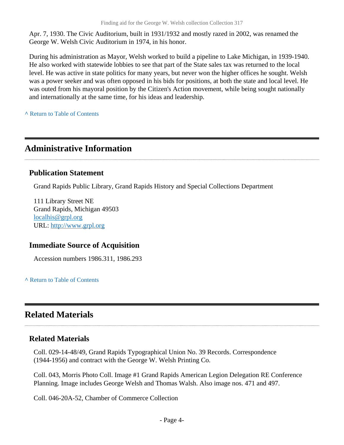Apr. 7, 1930. The Civic Auditorium, built in 1931/1932 and mostly razed in 2002, was renamed the George W. Welsh Civic Auditorium in 1974, in his honor.

During his administration as Mayor, Welsh worked to build a pipeline to Lake Michigan, in 1939-1940. He also worked with statewide lobbies to see that part of the State sales tax was returned to the local level. He was active in state politics for many years, but never won the higher offices he sought. Welsh was a power seeker and was often opposed in his bids for positions, at both the state and local level. He was outed from his mayoral position by the Citizen's Action movement, while being sought nationally and internationally at the same time, for his ideas and leadership.

**^** [Return to Table of Contents](#page-1-0)

# <span id="page-3-0"></span>**Administrative Information**

### **Publication Statement**

Grand Rapids Public Library, Grand Rapids History and Special Collections Department

111 Library Street NE Grand Rapids, Michigan 49503 [localhis@grpl.org](mailto:localhis@grpl.org) URL:<http://www.grpl.org>

### **Immediate Source of Acquisition**

Accession numbers 1986.311, 1986.293

**^** [Return to Table of Contents](#page-1-0)

# <span id="page-3-1"></span>**Related Materials**

### **Related Materials**

Coll. 029-14-48/49, Grand Rapids Typographical Union No. 39 Records. Correspondence (1944-1956) and contract with the George W. Welsh Printing Co.

Coll. 043, Morris Photo Coll. Image #1 Grand Rapids American Legion Delegation RE Conference Planning. Image includes George Welsh and Thomas Walsh. Also image nos. 471 and 497.

Coll. 046-20A-52, Chamber of Commerce Collection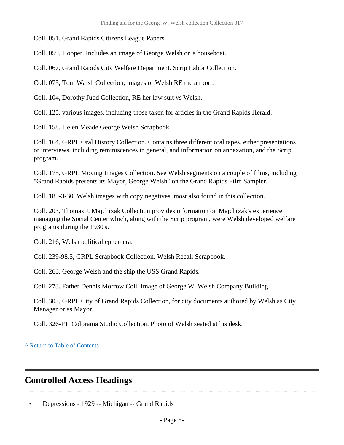Coll. 051, Grand Rapids Citizens League Papers.

Coll. 059, Hooper. Includes an image of George Welsh on a houseboat.

Coll. 067, Grand Rapids City Welfare Department. Scrip Labor Collection.

Coll. 075, Tom Walsh Collection, images of Welsh RE the airport.

Coll. 104, Dorothy Judd Collection, RE her law suit vs Welsh.

Coll. 125, various images, including those taken for articles in the Grand Rapids Herald.

Coll. 158, Helen Meade George Welsh Scrapbook

Coll. 164, GRPL Oral History Collection. Contains three different oral tapes, either presentations or interviews, including reminiscences in general, and information on annexation, and the Scrip program.

Coll. 175, GRPL Moving Images Collection. See Welsh segments on a couple of films, including "Grand Rapids presents its Mayor, George Welsh" on the Grand Rapids Film Sampler.

Coll. 185-3-30. Welsh images with copy negatives, most also found in this collection.

Coll. 203, Thomas J. Majchrzak Collection provides information on Majchrzak's experience managing the Social Center which, along with the Scrip program, were Welsh developed welfare programs during the 1930's.

Coll. 216, Welsh political ephemera.

Coll. 239-98.5, GRPL Scrapbook Collection. Welsh Recall Scrapbook.

Coll. 263, George Welsh and the ship the USS Grand Rapids.

Coll. 273, Father Dennis Morrow Coll. Image of George W. Welsh Company Building.

Coll. 303, GRPL City of Grand Rapids Collection, for city documents authored by Welsh as City Manager or as Mayor.

Coll. 326-P1, Colorama Studio Collection. Photo of Welsh seated at his desk.

**^** [Return to Table of Contents](#page-1-0)

# <span id="page-4-0"></span>**Controlled Access Headings**

• Depressions - 1929 -- Michigan -- Grand Rapids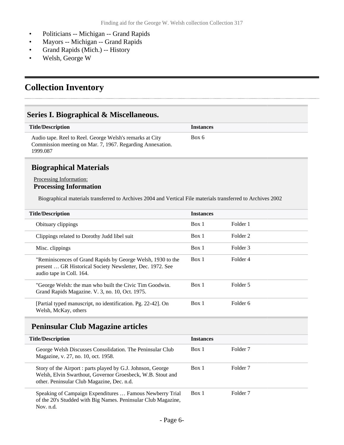- Politicians -- Michigan -- Grand Rapids
- Mayors -- Michigan -- Grand Rapids
- Grand Rapids (Mich.) -- History
- Welsh, George W

# <span id="page-5-0"></span>**Collection Inventory**

### <span id="page-5-1"></span>**Series I. Biographical & Miscellaneous.**

| <b>Title/Description</b>                                                                                                          | <b>Instances</b> |
|-----------------------------------------------------------------------------------------------------------------------------------|------------------|
| Audio tape. Reel to Reel. George Welsh's remarks at City<br>Commission meeting on Mar. 7, 1967. Regarding Annexation.<br>1999.087 | Box 6            |

### <span id="page-5-2"></span>**Biographical Materials**

#### Processing Information: **Processing Information**

Biographical materials transferred to Archives 2004 and Vertical File materials transferred to Archives 2002

| <b>Title/Description</b>                                                                                                                             | <b>Instances</b> |          |
|------------------------------------------------------------------------------------------------------------------------------------------------------|------------------|----------|
| Obituary clippings                                                                                                                                   | Box 1            | Folder 1 |
| Clippings related to Dorothy Judd libel suit                                                                                                         | Box 1            | Folder 2 |
| Misc. clippings                                                                                                                                      | Box 1            | Folder 3 |
| "Reminiscences of Grand Rapids by George Welsh, 1930 to the<br>present  GR Historical Society Newsletter, Dec. 1972. See<br>audio tape in Coll. 164. | Box 1            | Folder 4 |
| "George Welsh: the man who built the Civic Tim Goodwin.<br>Grand Rapids Magazine. V. 3, no. 10, Oct. 1975.                                           | Box 1            | Folder 5 |
| [Partial typed manuscript, no identification. Pg. 22-42]. On<br>Welsh, McKay, others                                                                 | Box 1            | Folder 6 |

### <span id="page-5-3"></span>**Peninsular Club Magazine articles**

| <b>Title/Description</b>                                                                                                                                                | <b>Instances</b> |                     |
|-------------------------------------------------------------------------------------------------------------------------------------------------------------------------|------------------|---------------------|
| George Welsh Discusses Consolidation. The Peninsular Club<br>Magazine, v. 27, no. 10, oct. 1958.                                                                        | Box 1            | Folder <sub>7</sub> |
| Story of the Airport : parts played by G.J. Johnson, George<br>Welsh, Elvin Swarthout, Governor Groesbeck, W.B. Stout and<br>other. Peninsular Club Magazine, Dec. n.d. | Box 1            | Folder <sub>7</sub> |
| Speaking of Campaign Expenditures  Famous Newberry Trial<br>of the 20's Studded with Big Names. Peninsular Club Magazine,<br>Nov. $n.d.$                                | Box 1            | Folder <sub>7</sub> |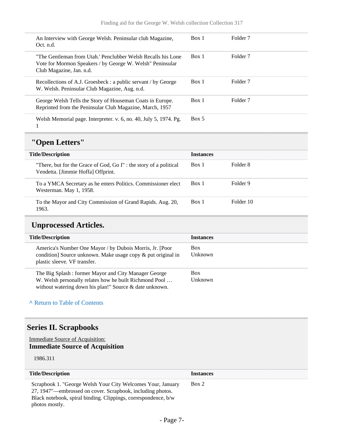| An Interview with George Welsh. Peninsular club Magazine,<br>Oct. n.d.                                                                                 | Box 1 | Folder <sub>7</sub> |
|--------------------------------------------------------------------------------------------------------------------------------------------------------|-------|---------------------|
| "The Gentleman from Utah.' Penclubber Welsh Recalls his Lone<br>Vote for Mormon Speakers / by George W. Welsh'' Peninsular<br>Club Magazine, Jan. n.d. | Box 1 | Folder <sub>7</sub> |
| Recollections of A.J. Groesbeck : a public servant / by George<br>W. Welsh. Peninsular Club Magazine, Aug. n.d.                                        | Box 1 | Folder <sub>7</sub> |
| George Welsh Tells the Story of Houseman Coats in Europe.<br>Reprinted from the Peninsular Club Magazine, March, 1957                                  | Box 1 | Folder <sub>7</sub> |
| Welsh Memorial page. Interpreter. v. 6, no. 40, July 5, 1974. Pg.                                                                                      | Box 5 |                     |

# <span id="page-6-0"></span>**"Open Letters"**

| <b>Title/Description</b>                                                                                | <b>Instances</b> |           |
|---------------------------------------------------------------------------------------------------------|------------------|-----------|
| "There, but for the Grace of God, Go I": the story of a political<br>Vendetta. [Jimmie Hoffa] Offprint. | Box 1            | Folder 8  |
| To a YMCA Secretary as he enters Politics. Commissioner elect<br>Westerman. May 1, 1958.                | Box 1            | Folder 9  |
| To the Mayor and City Commission of Grand Rapids. Aug. 20,<br>1963.                                     | Box 1            | Folder 10 |

### <span id="page-6-1"></span>**Unprocessed Articles.**

| <b>Title/Description</b>                                                                                                                                                  | <b>Instances</b>      |
|---------------------------------------------------------------------------------------------------------------------------------------------------------------------------|-----------------------|
| America's Number One Mayor / by Dubois Morris, Jr. [Poor]<br>condition] Source unknown. Make usage copy & put original in<br>plastic sleeve. VF transfer.                 | <b>Box</b><br>Unknown |
| The Big Splash: former Mayor and City Manager George<br>W. Welsh personally relates how he built Richmond Pool<br>without watering down his plan!" Source & date unknown. | <b>Box</b><br>Unknown |

#### **^** [Return to Table of Contents](#page-1-0)

### <span id="page-6-2"></span>**Series II. Scrapbooks**

#### Immediate Source of Acquisition: **Immediate Source of Acquisition**

1986.311

| <b>Title/Description</b>                                                                                                                                                                                      | <b>Instances</b> |
|---------------------------------------------------------------------------------------------------------------------------------------------------------------------------------------------------------------|------------------|
| Scrapbook 1. "George Welsh Your City Welcomes Your, January<br>27, 1947"—embrossed on cover. Scrapbook, including photos.<br>Black notebook, spiral binding. Clippings, correspondence, b/w<br>photos mostly. | Box 2            |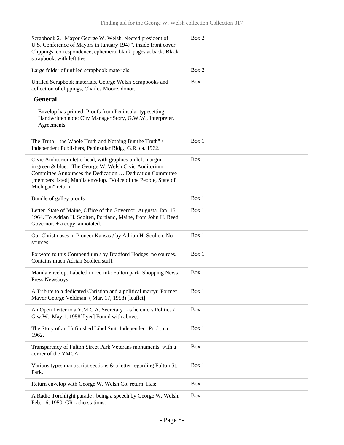| Scrapbook 2. "Mayor George W. Welsh, elected president of<br>U.S. Conference of Mayors in January 1947", inside front cover.<br>Clippings, correspondence, ephemera, blank pages at back. Black<br>scrapbook, with left ties.                                            | Box 2 |
|--------------------------------------------------------------------------------------------------------------------------------------------------------------------------------------------------------------------------------------------------------------------------|-------|
| Large folder of unfiled scrapbook materials.                                                                                                                                                                                                                             | Box 2 |
| Unfiled Scrapbook materials. George Welsh Scrapbooks and<br>collection of clippings, Charles Moore, donor.                                                                                                                                                               | Box 1 |
| <b>General</b>                                                                                                                                                                                                                                                           |       |
| Envelop has printed: Proofs from Peninsular typesetting.<br>Handwritten note: City Manager Story, G.W.W., Interpreter.<br>Agreements.                                                                                                                                    |       |
| The Truth – the Whole Truth and Nothing But the Truth" /<br>Independent Publishers, Peninsular Bldg., G.R. ca. 1962.                                                                                                                                                     | Box 1 |
| Civic Auditorium letterhead, with graphics on left margin,<br>in green & blue. "The George W. Welsh Civic Auditorium<br>Committee Announces the Dedication  Dedication Committee<br>[members listed] Manila envelop. "Voice of the People, State of<br>Michigan" return. | Box 1 |
| Bundle of galley proofs                                                                                                                                                                                                                                                  | Box 1 |
| Letter. State of Maine, Office of the Governor, Augusta. Jan. 15,<br>1964. To Adrian H. Scolten, Portland, Maine, from John H. Reed,<br>Governor. $+$ a copy, annotated.                                                                                                 | Box 1 |
| Our Christmases in Pioneer Kansas / by Adrian H. Scolten. No<br>sources                                                                                                                                                                                                  | Box 1 |
| Forword to this Compendium / by Bradford Hodges, no sources.<br>Contains much Adrian Scolten stuff.                                                                                                                                                                      | Box 1 |
| Manila envelop. Labeled in red ink: Fulton park. Shopping News,<br>Press Newsboys.                                                                                                                                                                                       | Box 1 |
| A Tribute to a dedicated Christian and a political martyr. Former<br>Mayor George Veldman. (Mar. 17, 1958) [leaflet]                                                                                                                                                     | Box 1 |
| An Open Letter to a Y.M.C.A. Secretary : as he enters Politics /<br>G.w.W., May 1, 1958[flyer] Found with above.                                                                                                                                                         | Box 1 |
| The Story of an Unfinished Libel Suit. Independent Publ., ca.<br>1962.                                                                                                                                                                                                   | Box 1 |
| Transparency of Fulton Street Park Veterans monuments, with a<br>corner of the YMCA.                                                                                                                                                                                     | Box 1 |
| Various types manuscript sections & a letter regarding Fulton St.<br>Park.                                                                                                                                                                                               | Box 1 |
| Return envelop with George W. Welsh Co. return. Has:                                                                                                                                                                                                                     | Box 1 |
| A Radio Torchlight parade : being a speech by George W. Welsh.                                                                                                                                                                                                           | Box 1 |

Feb. 16, 1950. GR radio stations.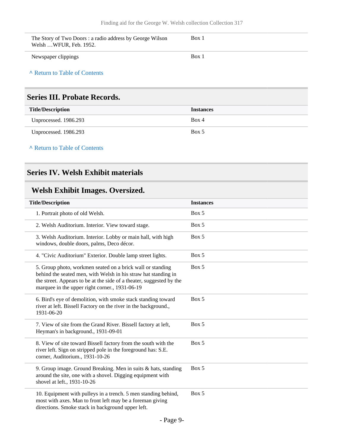| The Story of Two Doors: a radio address by George Wilson<br>Welsh WFUR. Feb. 1952. | Box 1 |
|------------------------------------------------------------------------------------|-------|
| Newspaper clippings                                                                | Box 1 |

**^** [Return to Table of Contents](#page-1-0)

### <span id="page-8-0"></span>**Series III. Probate Records.**

| <b>Title/Description</b> | <b>Instances</b> |
|--------------------------|------------------|
| Unprocessed. 1986.293    | Box 4            |
| Unprocessed. 1986.293    | Box 5            |

**^** [Return to Table of Contents](#page-1-0)

### <span id="page-8-1"></span>**Series IV. Welsh Exhibit materials**

# <span id="page-8-2"></span>**Welsh Exhibit Images. Oversized.**

| <b>Title/Description</b> |                                                                                                                                                                                                                                                        | <b>Instances</b> |
|--------------------------|--------------------------------------------------------------------------------------------------------------------------------------------------------------------------------------------------------------------------------------------------------|------------------|
|                          | 1. Portrait photo of old Welsh.                                                                                                                                                                                                                        | Box 5            |
|                          | 2. Welsh Auditorium. Interior. View toward stage.                                                                                                                                                                                                      | Box 5            |
|                          | 3. Welsh Auditorium. Interior. Lobby or main hall, with high<br>windows, double doors, palms, Deco décor.                                                                                                                                              | Box 5            |
|                          | 4. "Civic Auditorium" Exterior. Double lamp street lights.                                                                                                                                                                                             | Box 5            |
|                          | 5. Group photo, workmen seated on a brick wall or standing<br>behind the seated men, with Welsh in his straw hat standing in<br>the street. Appears to be at the side of a theater, suggested by the<br>marquee in the upper right corner., 1931-06-19 | Box 5            |
|                          | 6. Bird's eye of demolition, with smoke stack standing toward<br>river at left. Bissell Factory on the river in the background.,<br>1931-06-20                                                                                                         | Box 5            |
|                          | 7. View of site from the Grand River. Bissell factory at left,<br>Heyman's in background., 1931-09-01                                                                                                                                                  | Box 5            |
|                          | 8. View of site toward Bissell factory from the south with the<br>river left. Sign on stripped pole in the foreground has: S.E.<br>corner, Auditorium., 1931-10-26                                                                                     | Box 5            |
|                          | 9. Group image. Ground Breaking. Men in suits $&$ hats, standing<br>around the site, one with a shovel. Digging equipment with<br>shovel at left., 1931-10-26                                                                                          | Box 5            |
|                          | 10. Equipment with pulleys in a trench. 5 men standing behind,<br>most with axes. Man to front left may be a foreman giving<br>directions. Smoke stack in background upper left.                                                                       | Box 5            |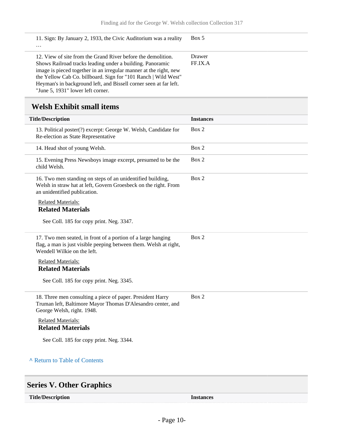| 11. Sign: By January 2, 1933, the Civic Auditorium was a reality<br>$\cdots$                                                                                                                                                                                                                                                                                               | Box 5             |
|----------------------------------------------------------------------------------------------------------------------------------------------------------------------------------------------------------------------------------------------------------------------------------------------------------------------------------------------------------------------------|-------------------|
| 12. View of site from the Grand River before the demolition.<br>Shows Railroad tracks leading under a building. Panoramic<br>image is pieced together in an irregular manner at the right, new<br>the Yellow Cab Co. billboard. Sign for "101 Ranch   Wild West"<br>Heyman's in background left, and Bissell corner seen at far left.<br>"June 5, 1931" lower left corner. | Drawer<br>FF.IX.A |

# <span id="page-9-0"></span>**Welsh Exhibit small items**

| Box 2<br>13. Political poster(?) excerpt: George W. Welsh, Candidate for<br>Re-election as State Representative<br>Box 2<br>14. Head shot of young Welsh.<br>Box 2<br>15. Evening Press Newsboys image excerpt, presumed to be the<br>child Welsh.<br>Box 2<br>16. Two men standing on steps of an unidentified building,<br>Welsh in straw hat at left, Govern Groesbeck on the right. From<br>an unidentified publication.<br><b>Related Materials:</b><br><b>Related Materials</b><br>See Coll. 185 for copy print. Neg. 3347.<br>Box 2<br>17. Two men seated, in front of a portion of a large hanging<br>flag, a man is just visible peeping between them. Welsh at right,<br>Wendell Wilkie on the left.<br><b>Related Materials:</b><br><b>Related Materials</b><br>See Coll. 185 for copy print. Neg. 3345.<br>Box 2<br>18. Three men consulting a piece of paper. President Harry<br>Truman left, Baltimore Mayor Thomas D'Alesandro center, and<br>George Welsh, right. 1948.<br><b>Related Materials:</b><br><b>Related Materials</b><br>See Coll. 185 for copy print. Neg. 3344.<br>A Return to Table of Contents | <b>Title/Description</b> | <b>Instances</b> |  |  |
|-------------------------------------------------------------------------------------------------------------------------------------------------------------------------------------------------------------------------------------------------------------------------------------------------------------------------------------------------------------------------------------------------------------------------------------------------------------------------------------------------------------------------------------------------------------------------------------------------------------------------------------------------------------------------------------------------------------------------------------------------------------------------------------------------------------------------------------------------------------------------------------------------------------------------------------------------------------------------------------------------------------------------------------------------------------------------------------------------------------------------------|--------------------------|------------------|--|--|
|                                                                                                                                                                                                                                                                                                                                                                                                                                                                                                                                                                                                                                                                                                                                                                                                                                                                                                                                                                                                                                                                                                                               |                          |                  |  |  |
|                                                                                                                                                                                                                                                                                                                                                                                                                                                                                                                                                                                                                                                                                                                                                                                                                                                                                                                                                                                                                                                                                                                               |                          |                  |  |  |
|                                                                                                                                                                                                                                                                                                                                                                                                                                                                                                                                                                                                                                                                                                                                                                                                                                                                                                                                                                                                                                                                                                                               |                          |                  |  |  |
|                                                                                                                                                                                                                                                                                                                                                                                                                                                                                                                                                                                                                                                                                                                                                                                                                                                                                                                                                                                                                                                                                                                               |                          |                  |  |  |
|                                                                                                                                                                                                                                                                                                                                                                                                                                                                                                                                                                                                                                                                                                                                                                                                                                                                                                                                                                                                                                                                                                                               |                          |                  |  |  |
|                                                                                                                                                                                                                                                                                                                                                                                                                                                                                                                                                                                                                                                                                                                                                                                                                                                                                                                                                                                                                                                                                                                               |                          |                  |  |  |
|                                                                                                                                                                                                                                                                                                                                                                                                                                                                                                                                                                                                                                                                                                                                                                                                                                                                                                                                                                                                                                                                                                                               |                          |                  |  |  |
|                                                                                                                                                                                                                                                                                                                                                                                                                                                                                                                                                                                                                                                                                                                                                                                                                                                                                                                                                                                                                                                                                                                               |                          |                  |  |  |
|                                                                                                                                                                                                                                                                                                                                                                                                                                                                                                                                                                                                                                                                                                                                                                                                                                                                                                                                                                                                                                                                                                                               |                          |                  |  |  |
|                                                                                                                                                                                                                                                                                                                                                                                                                                                                                                                                                                                                                                                                                                                                                                                                                                                                                                                                                                                                                                                                                                                               |                          |                  |  |  |
|                                                                                                                                                                                                                                                                                                                                                                                                                                                                                                                                                                                                                                                                                                                                                                                                                                                                                                                                                                                                                                                                                                                               |                          |                  |  |  |
|                                                                                                                                                                                                                                                                                                                                                                                                                                                                                                                                                                                                                                                                                                                                                                                                                                                                                                                                                                                                                                                                                                                               |                          |                  |  |  |
|                                                                                                                                                                                                                                                                                                                                                                                                                                                                                                                                                                                                                                                                                                                                                                                                                                                                                                                                                                                                                                                                                                                               |                          |                  |  |  |
|                                                                                                                                                                                                                                                                                                                                                                                                                                                                                                                                                                                                                                                                                                                                                                                                                                                                                                                                                                                                                                                                                                                               |                          |                  |  |  |
|                                                                                                                                                                                                                                                                                                                                                                                                                                                                                                                                                                                                                                                                                                                                                                                                                                                                                                                                                                                                                                                                                                                               |                          |                  |  |  |

# <span id="page-9-1"></span>**Series V. Other Graphics**

| <b>Title/Description</b> | Instances |
|--------------------------|-----------|
|                          |           |